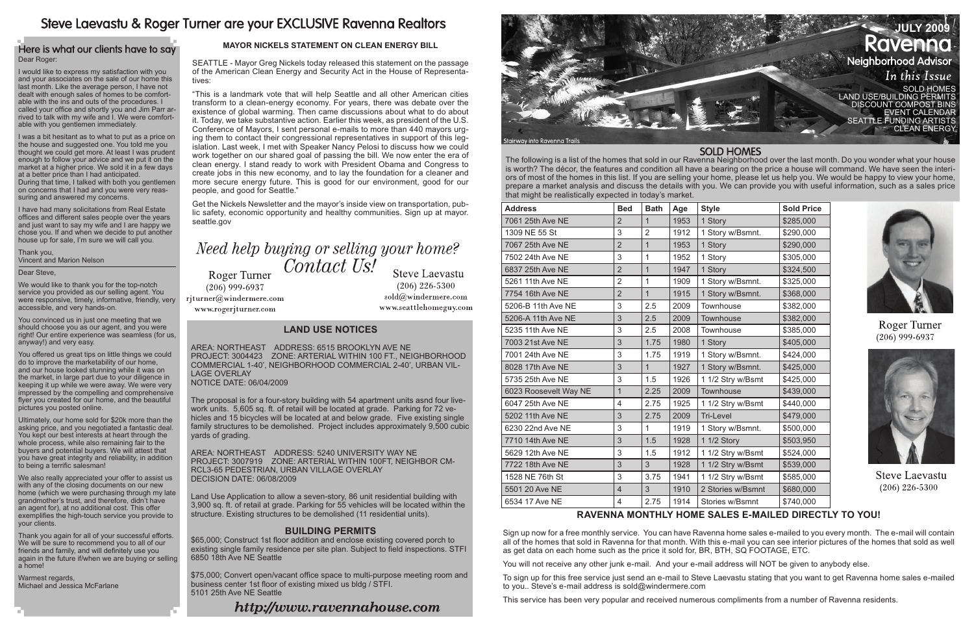#### **Land use Notices**

The proposal is for a four-story building with 54 apartment units asnd four livework units. 5,605 sq. ft. of retail will be located at grade. Parking for 72 vehicles and 15 bicycles will be located at and below grade. Five existing single family structures to be demolished. Project includes approximately 9,500 cubic vards of grading.

Area: Northeast Address: 6515 BROOKLYN AVE NE Project: 3004423 Zone: ARTERIAL WITHIN 100 FT., NEIGHBORHOOD COMMERCIAL 1-40', NEIGHBORHOOD COMMERCIAL 2-40', URBAN VIL-LAGE OVERLAY Notice Date: 06/04/2009

Area: Northeast Address: 5240 UNIVERSITY WAY NE Project: 3007919 Zone: ARTERIAL WITHIN 100FT, NEIGHBOR CM-RCL3-65 PEDESTRIAN, URBAN VILLAGE OVERLAY Decision Date: 06/08/2009

Land Use Application to allow a seven-story, 86 unit residential building with 3,900 sq. ft. of retail at grade. Parking for 55 vehicles will be located within the structure. Existing structures to be demolished (11 residential units).

#### **Building Permits**

\$65,000; Construct 1st floor addition and enclose existing covered porch to existing single family residence per site plan. Subject to field inspections. STFI 6850 18th Ave NE Seattle

\$75,000; Convert open/vacant office space to multi-purpose meeting room and business center 1st floor of existing mixed us bldg / STFI. 5101 25th Ave NE Seattle

## http://www.ravennahouse.com

# Steve Laevastu & Roger Turner are your EXCLUSIVE Ravenna Realtors

#### Here is what our clients have to say Dear Roger:

The following is a list of the homes that sold in our Ravenna Neighborhood over the last month. Do you wonder what your house is worth? The décor, the features and condition all have a bearing on the price a house will command. We have seen the interiors of most of the homes in this list. If you are selling your home, please let us help you. We would be happy to view your home, prepare a market analysis and discuss the details with you. We can provide you with useful information, such as a sales price that might be realistically expected in today's market.

| <b>Address</b>        | <b>Bed</b>     | <b>Bath</b>    | Age  | <b>Style</b>      | <b>Sold Price</b> |
|-----------------------|----------------|----------------|------|-------------------|-------------------|
| 7061 25th Ave NE      | $\overline{2}$ | $\overline{1}$ | 1953 | 1 Story           | \$285,000         |
| 1309 NE 55 St         | 3              | $\overline{2}$ | 1912 | 1 Story w/Bsmnt.  | \$290,000         |
| 7067 25th Ave NE      | $\overline{2}$ | $\overline{1}$ | 1953 | 1 Story           | \$290,000         |
| 7502 24th Ave NE      | 3              | 1              | 1952 | 1 Story           | \$305,000         |
| 6837 25th Ave NE      | $\overline{2}$ | $\mathbf 1$    | 1947 | 1 Story           | \$324,500         |
| 5261 11th Ave NE      | $\overline{2}$ | 1              | 1909 | 1 Story w/Bsmnt.  | \$325,000         |
| 7754 16th Ave NE      | $\overline{2}$ | $\overline{1}$ | 1915 | 1 Story w/Bsmnt.  | \$368,000         |
| 5206-B 11th Ave NE    | 3              | 2.5            | 2009 | Townhouse         | \$382,000         |
| 5206-A 11th Ave NE    | 3              | 2.5            | 2009 | Townhouse         | \$382,000         |
| 5235 11th Ave NE      | 3              | 2.5            | 2008 | Townhouse         | \$385,000         |
| 7003 21st Ave NE      | 3              | 1.75           | 1980 | 1 Story           | \$405,000         |
| 7001 24th Ave NE      | 3              | 1.75           | 1919 | 1 Story w/Bsmnt.  | \$424,000         |
| 8028 17th Ave NE      | 3              | $\mathbf{1}$   | 1927 | 1 Story w/Bsmnt.  | \$425,000         |
| 5735 25th Ave NE      | 3              | 1.5            | 1926 | 1 1/2 Stry w/Bsmt | \$425,000         |
| 6023 Roosevelt Way NE | $\mathbf{1}$   | 2.25           | 2009 | Townhouse         | \$439,000         |
| 6047 25th Ave NE      | $\overline{4}$ | 2.75           | 1925 | 1 1/2 Stry w/Bsmt | \$440,000         |
| 5202 11th Ave NE      | 3              | 2.75           | 2009 | Tri-Level         | \$479,000         |
| 6230 22nd Ave NE      | 3              | 1              | 1919 | 1 Story w/Bsmnt.  | \$500,000         |
| 7710 14th Ave NE      | 3              | 1.5            | 1928 | 1 1/2 Story       | \$503,950         |
| 5629 12th Ave NE      | 3              | 1.5            | 1912 | 1 1/2 Stry w/Bsmt | \$524,000         |
| 7722 18th Ave NE      | 3              | 3              | 1928 | 1 1/2 Stry w/Bsmt | \$539,000         |
| 1528 NE 76th St       | 3              | 3.75           | 1941 | 1 1/2 Stry w/Bsmt | \$585,000         |
| 5501 20 Ave NE        | $\overline{4}$ | 3              | 1910 | 2 Stories w/Bsmnt | \$680,000         |
| 6534 17 Ave NE        | $\overline{4}$ | 2.75           | 1914 | Stories w/Bsmnt   | \$740,000         |

We also really appreciated your offer to assist us with any of the closing documents on our new home (which we were purchasing through my late grandmother's trust, and therefore, didn't have an agent for), at no additional cost. This offer exemplifies the high-touch service you provide to your clients.

I would like to express my satisfaction with you and your associates on the sale of our home this last month. Like the average person, I have not dealt with enough sales of homes to be comfortable with the ins and outs of the procedures. I called your office and shortly you and Jim Parr arrived to talk with my wife and I. We were comfortable with you gentlemen immediately.

I was a bit hesitant as to what to put as a price on the house and suggested one. You told me you thought we could get more. At least I was prudent enough to follow your advice and we put it on the market at a higher price. We sold it in a few days at a better price than I had anticipated. During that time, I talked with both you gentlemen on concerns that I had and you were very reassuring and answered my concerns.



I have had many solicitations from Real Estate offices and different sales people over the years and just want to say my wife and I are happy we chose you. If and when we decide to put another house up for sale, I'm sure we will call you.

Thank you, Vincent and Marion Nelson

Dear Steve,

We would like to thank you for the top-notch service you provided as our selling agent. You were responsive, timely, informative, friendly, very accessible, and very hands-on.

You convinced us in just one meeting that we should choose you as our agent, and you were right! Our entire experience was seamless (for us, anyway!) and very easy.

You offered us great tips on little things we could do to improve the marketability of our home, and our house looked stunning while it was on the market, in large part due to your diligence in keeping it up while we were away. We were very impressed by the compelling and comprehensive flyer you created for our home, and the beautiful pictures you posted online.

Ultimately, our home sold for \$20k more than the asking price, and you negotiated a fantastic deal. You kept our best interests at heart through the whole process, while also remaining fair to the buyers and potential buyers. We will attest that you have great integrity and reliability, in addition to being a terrific salesman!

Thank you again for all of your successful efforts. We will be sure to recommend you to all of our friends and family, and will definitely use you again in the future if/when we are buying or selling a home!

Warmest regards, Michael and Jessica McFarlane

## **Ravenna monthly home sales e-mailed directly to you!**

Sign up now for a free monthly service. You can have Ravenna home sales e-mailed to you every month. The e-mail will contain all of the homes that sold in Ravenna for that month. With this e-mail you can see interior pictures of the homes that sold as well as get data on each home such as the price it sold for, BR, BTH, SQ FOOTAGE, ETC.

You will not receive any other junk e-mail. And your e-mail address will NOT be given to anybody else.

To sign up for this free service just send an e-mail to Steve Laevastu stating that you want to get Ravenna home sales e-mailed to you.. Steve's e-mail address is sold@windermere.com

This service has been very popular and received numerous compliments from a number of Ravenna residents.

#### **SOLD HOMES**



Roger Turner  $(206)$  999-6937



**Steve Laevastu**  $(206)$  226-5300

#### **Mayor Nickels statement on clean energy bill**

SEATTLE - Mayor Greg Nickels today released this statement on the passage of the American Clean Energy and Security Act in the House of Representatives:

"This is a landmark vote that will help Seattle and all other American cities transform to a clean-energy economy. For years, there was debate over the existence of global warming. Then came discussions about what to do about it. Today, we take substantive action. Earlier this week, as president of the U.S. Conference of Mayors, I sent personal e-mails to more than 440 mayors urging them to contact their congressional representatives in support of this legislation. Last week, I met with Speaker Nancy Pelosi to discuss how we could work together on our shared goal of passing the bill. We now enter the era of clean energy. I stand ready to work with President Obama and Congress to create jobs in this new economy, and to lay the foundation for a cleaner and more secure energy future. This is good for our environment, good for our people, and good for Seattle."

Get the Nickels Newsletter and the mayor's inside view on transportation, public safety, economic opportunity and healthy communities. Sign up at mayor. seattle.gov

# Need help buying or selling your home? Contact Us!

Roger Turner  $(206)$  999-6937

**Steve Laevastu**  $(206)$  226-5300 sold@windermere.com www.seattlehomeguy.com

rjturner@windermere.com www.rogerjturner.com